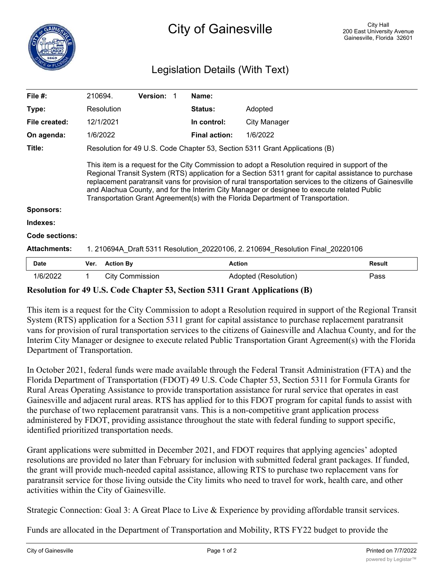## Legislation Details (With Text)

| File $#$ :          | 210694.                                                                                                                                                                                                                                                                                                                                                                                                                                                                                                  |                                                                             | Version: |  | Name:                |                      |               |  |
|---------------------|----------------------------------------------------------------------------------------------------------------------------------------------------------------------------------------------------------------------------------------------------------------------------------------------------------------------------------------------------------------------------------------------------------------------------------------------------------------------------------------------------------|-----------------------------------------------------------------------------|----------|--|----------------------|----------------------|---------------|--|
| Type:               |                                                                                                                                                                                                                                                                                                                                                                                                                                                                                                          | Resolution                                                                  |          |  | Status:              | Adopted              |               |  |
| File created:       | 12/1/2021                                                                                                                                                                                                                                                                                                                                                                                                                                                                                                |                                                                             |          |  | In control:          | City Manager         |               |  |
| On agenda:          | 1/6/2022                                                                                                                                                                                                                                                                                                                                                                                                                                                                                                 |                                                                             |          |  | <b>Final action:</b> | 1/6/2022             |               |  |
| Title:              |                                                                                                                                                                                                                                                                                                                                                                                                                                                                                                          | Resolution for 49 U.S. Code Chapter 53, Section 5311 Grant Applications (B) |          |  |                      |                      |               |  |
| <b>Sponsors:</b>    | This item is a request for the City Commission to adopt a Resolution required in support of the<br>Regional Transit System (RTS) application for a Section 5311 grant for capital assistance to purchase<br>replacement paratransit vans for provision of rural transportation services to the citizens of Gainesville<br>and Alachua County, and for the Interim City Manager or designee to execute related Public<br>Transportation Grant Agreement(s) with the Florida Department of Transportation. |                                                                             |          |  |                      |                      |               |  |
| Indexes:            |                                                                                                                                                                                                                                                                                                                                                                                                                                                                                                          |                                                                             |          |  |                      |                      |               |  |
| Code sections:      |                                                                                                                                                                                                                                                                                                                                                                                                                                                                                                          |                                                                             |          |  |                      |                      |               |  |
| <b>Attachments:</b> | 1. 210694A Draft 5311 Resolution 20220106, 2. 210694 Resolution Final 20220106                                                                                                                                                                                                                                                                                                                                                                                                                           |                                                                             |          |  |                      |                      |               |  |
| Date                | Ver.                                                                                                                                                                                                                                                                                                                                                                                                                                                                                                     | <b>Action By</b>                                                            |          |  | <b>Action</b>        |                      | <b>Result</b> |  |
| 1/6/2022            |                                                                                                                                                                                                                                                                                                                                                                                                                                                                                                          | <b>City Commission</b>                                                      |          |  |                      | Adopted (Resolution) | Pass          |  |

## **Resolution for 49 U.S. Code Chapter 53, Section 5311 Grant Applications (B)**

This item is a request for the City Commission to adopt a Resolution required in support of the Regional Transit System (RTS) application for a Section 5311 grant for capital assistance to purchase replacement paratransit vans for provision of rural transportation services to the citizens of Gainesville and Alachua County, and for the Interim City Manager or designee to execute related Public Transportation Grant Agreement(s) with the Florida Department of Transportation.

In October 2021, federal funds were made available through the Federal Transit Administration (FTA) and the Florida Department of Transportation (FDOT) 49 U.S. Code Chapter 53, Section 5311 for Formula Grants for Rural Areas Operating Assistance to provide transportation assistance for rural service that operates in east Gainesville and adjacent rural areas. RTS has applied for to this FDOT program for capital funds to assist with the purchase of two replacement paratransit vans. This is a non-competitive grant application process administered by FDOT, providing assistance throughout the state with federal funding to support specific, identified prioritized transportation needs.

Grant applications were submitted in December 2021, and FDOT requires that applying agencies' adopted resolutions are provided no later than February for inclusion with submitted federal grant packages. If funded, the grant will provide much-needed capital assistance, allowing RTS to purchase two replacement vans for paratransit service for those living outside the City limits who need to travel for work, health care, and other activities within the City of Gainesville.

Strategic Connection: Goal 3: A Great Place to Live & Experience by providing affordable transit services.

Funds are allocated in the Department of Transportation and Mobility, RTS FY22 budget to provide the